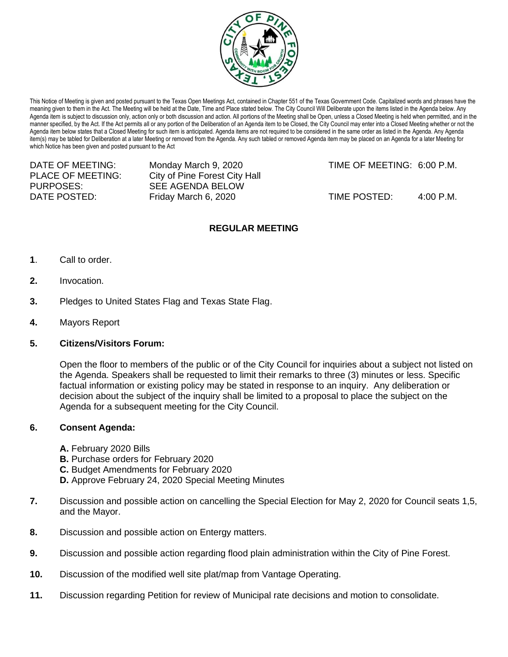

This Notice of Meeting is given and posted pursuant to the Texas Open Meetings Act, contained in Chapter 551 of the Texas Government Code. Capitalized words and phrases have the meaning given to them in the Act. The Meeting will be held at the Date, Time and Place stated below. The City Council Will Deliberate upon the items listed in the Agenda below. Any Agenda item is subject to discussion only, action only or both discussion and action. All portions of the Meeting shall be Open, unless a Closed Meeting is held when permitted, and in the manner specified, by the Act. If the Act permits all or any portion of the Deliberation of an Agenda item to be Closed, the City Council may enter into a Closed Meeting whether or not the Agenda item below states that a Closed Meeting for such item is anticipated. Agenda items are not required to be considered in the same order as listed in the Agenda. Any Agenda item(s) may be tabled for Deliberation at a later Meeting or removed from the Agenda. Any such tabled or removed Agenda item may be placed on an Agenda for a later Meeting for which Notice has been given and posted pursuant to the Act

| DATE OF MEETING:  | Monday March 9, 2020          | TIME OF MEETING: 6:00 P.M. |           |
|-------------------|-------------------------------|----------------------------|-----------|
| PLACE OF MEETING: | City of Pine Forest City Hall |                            |           |
| PURPOSES:         | SEE AGENDA BELOW              |                            |           |
| DATE POSTED:      | Friday March 6, 2020          | TIME POSTED:               | 4:00 P.M. |
|                   |                               |                            |           |

# **REGULAR MEETING**

- **1**. Call to order.
- **2.** Invocation.
- **3.** Pledges to United States Flag and Texas State Flag.
- **4.** Mayors Report

### **5. Citizens/Visitors Forum:**

Open the floor to members of the public or of the City Council for inquiries about a subject not listed on the Agenda. Speakers shall be requested to limit their remarks to three (3) minutes or less. Specific factual information or existing policy may be stated in response to an inquiry. Any deliberation or decision about the subject of the inquiry shall be limited to a proposal to place the subject on the Agenda for a subsequent meeting for the City Council.

### **6. Consent Agenda:**

- **A.** February 2020 Bills
- **B.** Purchase orders for February 2020
- **C.** Budget Amendments for February 2020
- **D.** Approve February 24, 2020 Special Meeting Minutes
- **7.** Discussion and possible action on cancelling the Special Election for May 2, 2020 for Council seats 1,5, and the Mayor.
- **8.** Discussion and possible action on Entergy matters.
- **9.** Discussion and possible action regarding flood plain administration within the City of Pine Forest.
- **10.** Discussion of the modified well site plat/map from Vantage Operating.
- **11.** Discussion regarding Petition for review of Municipal rate decisions and motion to consolidate.